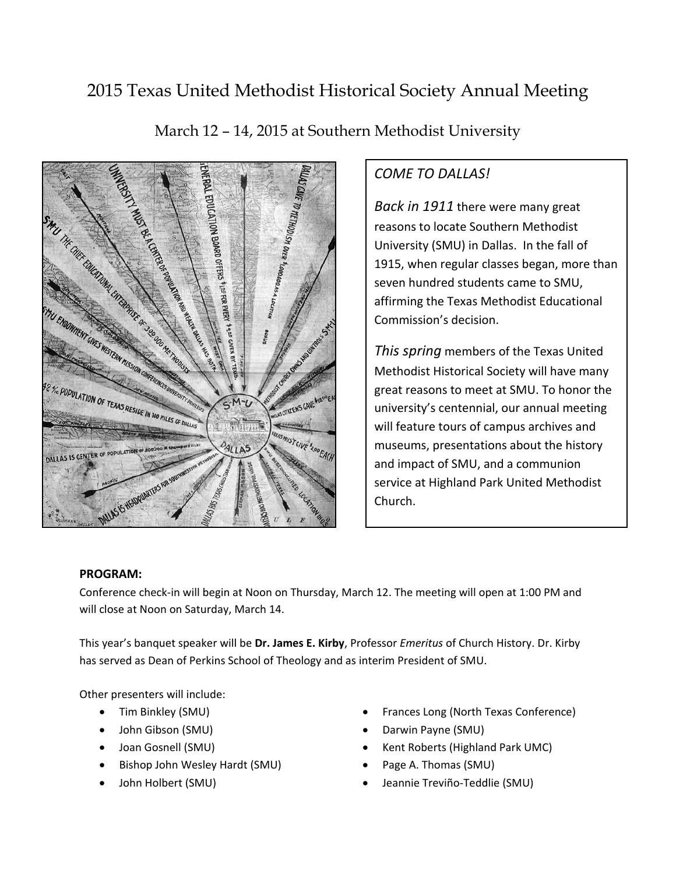# 2015 Texas United Methodist Historical Society Annual Meeting



March 12 – 14, 2015 at Southern Methodist University

## *COME TO DALLAS!*

*Back in 1911* there were many great reasons to locate Southern Methodist University (SMU) in Dallas. In the fall of 1915, when regular classes began, more than seven hundred students came to SMU, affirming the Texas Methodist Educational Commission's decision.

*This spring* members of the Texas United Methodist Historical Society will have many great reasons to meet at SMU. To honor the university's centennial, our annual meeting will feature tours of campus archives and museums, presentations about the history and impact of SMU, and a communion service at Highland Park United Methodist Church.

#### **PROGRAM:**

Conference check-in will begin at Noon on Thursday, March 12. The meeting will open at 1:00 PM and will close at Noon on Saturday, March 14.

This year's banquet speaker will be **Dr. James E. Kirby**, Professor *Emeritus* of Church History. Dr. Kirby has served as Dean of Perkins School of Theology and as interim President of SMU.

Other presenters will include:

- Tim Binkley (SMU)
- John Gibson (SMU)
- Joan Gosnell (SMU)
- Bishop John Wesley Hardt (SMU)
- John Holbert (SMU)
- Frances Long (North Texas Conference)
- Darwin Payne (SMU)
- Kent Roberts (Highland Park UMC)
- Page A. Thomas (SMU)
- Jeannie Treviño-Teddlie (SMU)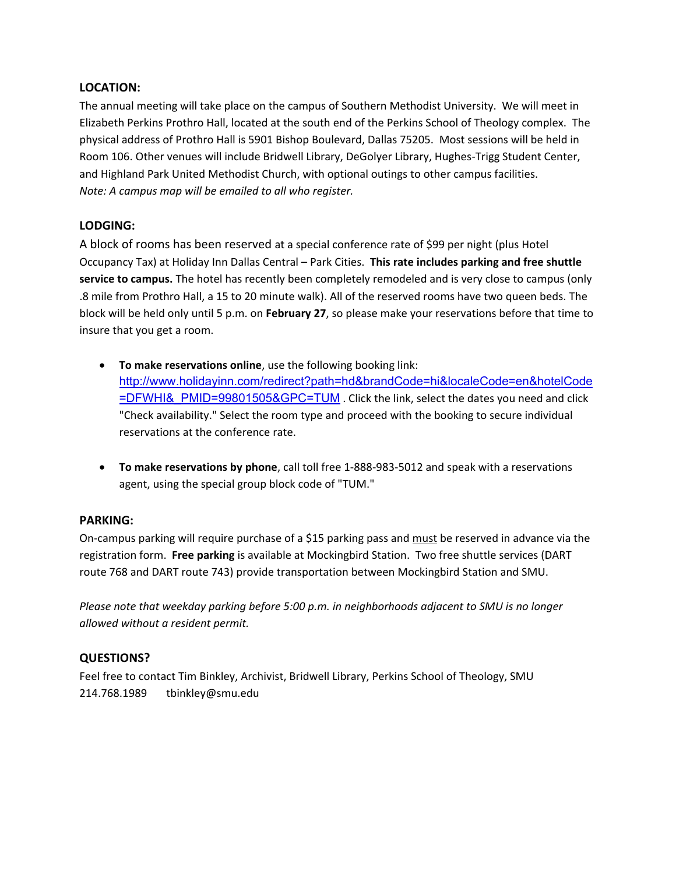#### **LOCATION:**

The annual meeting will take place on the campus of Southern Methodist University. We will meet in Elizabeth Perkins Prothro Hall, located at the south end of the Perkins School of Theology complex. The physical address of Prothro Hall is 5901 Bishop Boulevard, Dallas 75205. Most sessions will be held in Room 106. Other venues will include Bridwell Library, DeGolyer Library, Hughes-Trigg Student Center, and Highland Park United Methodist Church, with optional outings to other campus facilities. *Note: A campus map will be emailed to all who register.*

### **LODGING:**

A block of rooms has been reserved at a special conference rate of \$99 per night (plus Hotel Occupancy Tax) at Holiday Inn Dallas Central – Park Cities. **This rate includes parking and free shuttle service to campus.** The hotel has recently been completely remodeled and is very close to campus (only .8 mile from Prothro Hall, a 15 to 20 minute walk). All of the reserved rooms have two queen beds. The block will be held only until 5 p.m. on **February 27**, so please make your reservations before that time to insure that you get a room.

- **To make reservations online**, use the following booking link: [http://www.holidayinn.com/redirect?path=hd&brandCode=hi&localeCode=en&hotelCode](http://www.holidayinn.com/redirect?path=hd&brandCode=hi&localeCode=en&hotelCode=DFWHI&_PMID=99801505&GPC=TUM) =DFWHI& PMID=99801505&GPC=TUM . Click the link, select the dates you need and click "Check availability." Select the room type and proceed with the booking to secure individual reservations at the conference rate.
- **To make reservations by phone**, call toll free 1-888-983-5012 and speak with a reservations agent, using the special group block code of "TUM."

#### **PARKING:**

On-campus parking will require purchase of a \$15 parking pass and must be reserved in advance via the registration form. **Free parking** is available at Mockingbird Station. Two free shuttle services (DART route 768 and DART route 743) provide transportation between Mockingbird Station and SMU.

*Please note that weekday parking before 5:00 p.m. in neighborhoods adjacent to SMU is no longer allowed without a resident permit.*

#### **QUESTIONS?**

Feel free to contact Tim Binkley, Archivist, Bridwell Library, Perkins School of Theology, SMU 214.768.1989 tbinkley@smu.edu